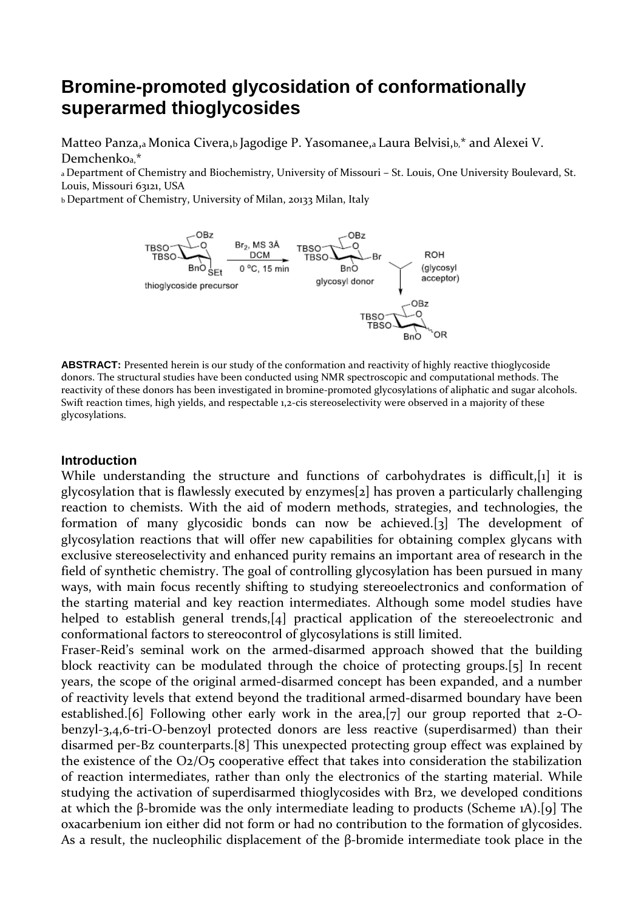# **Bromine-promoted glycosidation of conformationally superarmed thioglycosides**

Matteo Panza,a Monica Civera,b Jagodige P. Yasomanee,a Laura Belvisi,b,\* and Alexei V. Demchenkoa,\*

a Department of Chemistry and Biochemistry, University of Missouri – St. Louis, One University Boulevard, St. Louis, Missouri 63121, USA

b Department of Chemistry, University of Milan, 20133 Milan, Italy



**ABSTRACT:** Presented herein is our study of the conformation and reactivity of highly reactive thioglycoside donors. The structural studies have been conducted using NMR spectroscopic and computational methods. The reactivity of these donors has been investigated in bromine-promoted glycosylations of aliphatic and sugar alcohols. Swift reaction times, high yields, and respectable 1,2-cis stereoselectivity were observed in a majority of these glycosylations.

#### **Introduction**

While understanding the structure and functions of carbohydrates is difficult, [1] it is glycosylation that is flawlessly executed by enzymes[2] has proven a particularly challenging reaction to chemists. With the aid of modern methods, strategies, and technologies, the formation of many glycosidic bonds can now be achieved.[3] The development of glycosylation reactions that will offer new capabilities for obtaining complex glycans with exclusive stereoselectivity and enhanced purity remains an important area of research in the field of synthetic chemistry. The goal of controlling glycosylation has been pursued in many ways, with main focus recently shifting to studying stereoelectronics and conformation of the starting material and key reaction intermediates. Although some model studies have helped to establish general trends, [4] practical application of the stereoelectronic and conformational factors to stereocontrol of glycosylations is still limited.

Fraser-Reid's seminal work on the armed-disarmed approach showed that the building block reactivity can be modulated through the choice of protecting groups.[5] In recent years, the scope of the original armed-disarmed concept has been expanded, and a number of reactivity levels that extend beyond the traditional armed-disarmed boundary have been established.[6] Following other early work in the area,[7] our group reported that 2-Obenzyl-3,4,6-tri-O-benzoyl protected donors are less reactive (superdisarmed) than their disarmed per-Bz counterparts.[8] This unexpected protecting group effect was explained by the existence of the O2/O5 cooperative effect that takes into consideration the stabilization of reaction intermediates, rather than only the electronics of the starting material. While studying the activation of superdisarmed thioglycosides with Br2, we developed conditions at which the β-bromide was the only intermediate leading to products (Scheme 1A).[9] The oxacarbenium ion either did not form or had no contribution to the formation of glycosides. As a result, the nucleophilic displacement of the β-bromide intermediate took place in the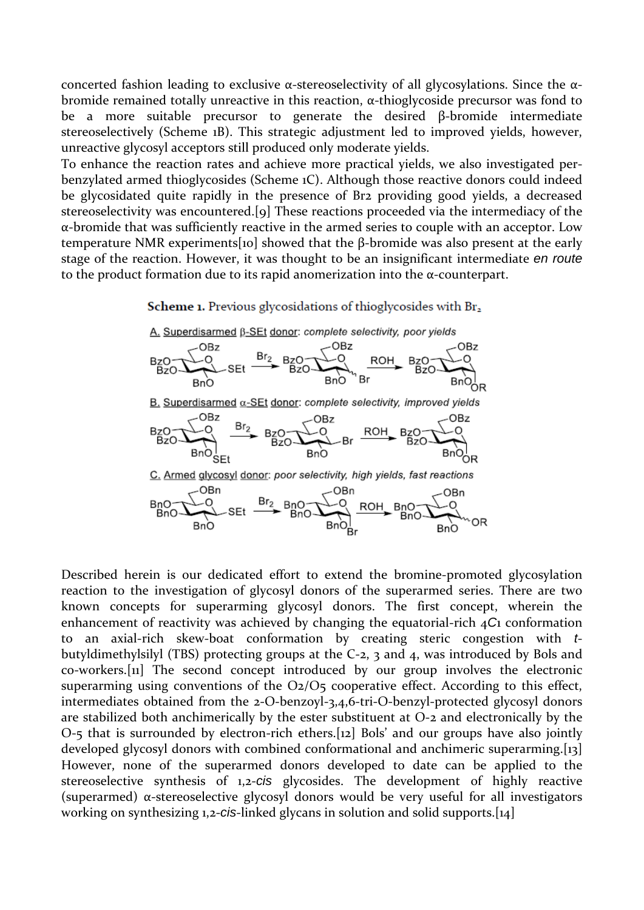concerted fashion leading to exclusive α-stereoselectivity of all glycosylations. Since the αbromide remained totally unreactive in this reaction, α-thioglycoside precursor was fond to be a more suitable precursor to generate the desired β-bromide intermediate stereoselectively (Scheme 1B). This strategic adjustment led to improved yields, however, unreactive glycosyl acceptors still produced only moderate yields.

To enhance the reaction rates and achieve more practical yields, we also investigated perbenzylated armed thioglycosides (Scheme 1C). Although those reactive donors could indeed be glycosidated quite rapidly in the presence of Br2 providing good yields, a decreased stereoselectivity was encountered.[9] These reactions proceeded via the intermediacy of the α-bromide that was sufficiently reactive in the armed series to couple with an acceptor. Low temperature NMR experiments[10] showed that the β-bromide was also present at the early stage of the reaction. However, it was thought to be an insignificant intermediate *en route*  to the product formation due to its rapid anomerization into the α-counterpart.

Scheme 1. Previous glycosidations of thioglycosides with Br<sub>2</sub>



Described herein is our dedicated effort to extend the bromine-promoted glycosylation reaction to the investigation of glycosyl donors of the superarmed series. There are two known concepts for superarming glycosyl donors. The first concept, wherein the enhancement of reactivity was achieved by changing the equatorial-rich 4*C*1 conformation to an axial-rich skew-boat conformation by creating steric congestion with *t*butyldimethylsilyl (TBS) protecting groups at the C-2, 3 and 4, was introduced by Bols and co-workers.[11] The second concept introduced by our group involves the electronic superarming using conventions of the O2/O5 cooperative effect. According to this effect, intermediates obtained from the 2-O-benzoyl-3,4,6-tri-O-benzyl-protected glycosyl donors are stabilized both anchimerically by the ester substituent at O-2 and electronically by the O-5 that is surrounded by electron-rich ethers.[12] Bols' and our groups have also jointly developed glycosyl donors with combined conformational and anchimeric superarming.[13] However, none of the superarmed donors developed to date can be applied to the stereoselective synthesis of 1,2-*cis* glycosides. The development of highly reactive (superarmed) α-stereoselective glycosyl donors would be very useful for all investigators working on synthesizing 1,2-*cis*-linked glycans in solution and solid supports.[14]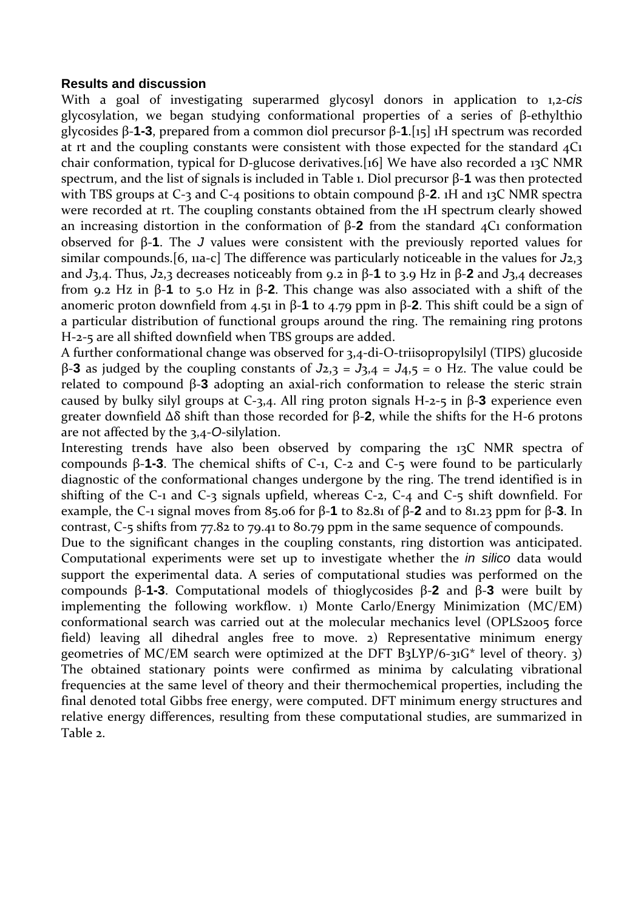#### **Results and discussion**

With a goal of investigating superarmed glycosyl donors in application to 1,2-*cis*  glycosylation, we began studying conformational properties of a series of β-ethylthio glycosides β-**1-3**, prepared from a common diol precursor β-**1**.[15] 1H spectrum was recorded at rt and the coupling constants were consistent with those expected for the standard  $4C_1$ chair conformation, typical for D-glucose derivatives.[16] We have also recorded a 13C NMR spectrum, and the list of signals is included in Table 1. Diol precursor β-**1** was then protected with TBS groups at C-3 and C-4 positions to obtain compound β-**2**. 1H and 13C NMR spectra were recorded at rt. The coupling constants obtained from the 1H spectrum clearly showed an increasing distortion in the conformation of β-**2** from the standard 4C1 conformation observed for β-**1**. The *J* values were consistent with the previously reported values for similar compounds.[6, 11a-c] The difference was particularly noticeable in the values for *J*2,3 and *J*3,4. Thus, *J*2,3 decreases noticeably from 9.2 in β-**1** to 3.9 Hz in β-**2** and *J*3,4 decreases from 9.2 Hz in β-**1** to 5.0 Hz in β-**2**. This change was also associated with a shift of the anomeric proton downfield from 4.51 in β-**1** to 4.79 ppm in β-**2**. This shift could be a sign of a particular distribution of functional groups around the ring. The remaining ring protons H-2-5 are all shifted downfield when TBS groups are added.

A further conformational change was observed for 3,4-di-O-triisopropylsilyl (TIPS) glucoside β-**3** as judged by the coupling constants of *J*2,3 = *J*3,4 = *J*4,5 = 0 Hz. The value could be related to compound β-**3** adopting an axial-rich conformation to release the steric strain caused by bulky silyl groups at C-3,4. All ring proton signals H-2-5 in β-**3** experience even greater downfield Δδ shift than those recorded for β-**2**, while the shifts for the H-6 protons are not affected by the 3,4-*O*-silylation.

Interesting trends have also been observed by comparing the 13C NMR spectra of compounds β-**1-3**. The chemical shifts of C-1, C-2 and C-5 were found to be particularly diagnostic of the conformational changes undergone by the ring. The trend identified is in shifting of the C-1 and C-3 signals upfield, whereas C-2, C-4 and C-5 shift downfield. For example, the C-1 signal moves from 85.06 for β-**1** to 82.81 of β-**2** and to 81.23 ppm for β-**3**. In contrast, C-5 shifts from 77.82 to 79.41 to 80.79 ppm in the same sequence of compounds.

Due to the significant changes in the coupling constants, ring distortion was anticipated. Computational experiments were set up to investigate whether the *in silico* data would support the experimental data. A series of computational studies was performed on the compounds β-**1-3**. Computational models of thioglycosides β-**2** and β-**3** were built by implementing the following workflow. 1) Monte Carlo/Energy Minimization (MC/EM) conformational search was carried out at the molecular mechanics level (OPLS2005 force field) leaving all dihedral angles free to move. 2) Representative minimum energy geometries of MC/EM search were optimized at the DFT B3LYP/6-31G\* level of theory. 3) The obtained stationary points were confirmed as minima by calculating vibrational frequencies at the same level of theory and their thermochemical properties, including the final denoted total Gibbs free energy, were computed. DFT minimum energy structures and relative energy differences, resulting from these computational studies, are summarized in Table 2.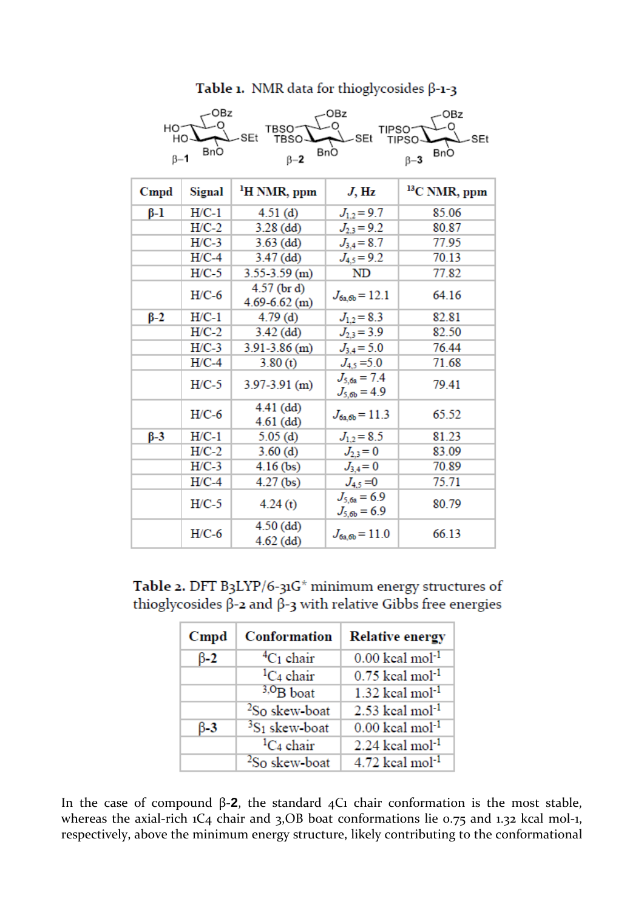## Table 1. NMR data for thioglycosides  $\beta$ -1-3

| OBz<br>OBz<br>OBz<br>HO <sup>-</sup><br>TBSO <sup>-</sup><br>TIPSO <sup>-</sup><br>-SEt<br>-SEt<br><b>TBSO</b><br>-SEt<br>HО<br><b>TIPSO</b> |         |                                    |                                      |                           |  |  |
|----------------------------------------------------------------------------------------------------------------------------------------------|---------|------------------------------------|--------------------------------------|---------------------------|--|--|
| BnO<br>$\beta-1$                                                                                                                             |         | BnO<br>$\beta - 2$                 |                                      | <b>BnO</b><br>$\beta - 3$ |  |  |
| $C$ mpd                                                                                                                                      | Signal  | <sup>1</sup> H NMR, ppm            | $J$ , Hz                             | <sup>13</sup> C NMR, ppm  |  |  |
| $\beta-1$                                                                                                                                    | $H/C-1$ | 4.51(d)                            | $J_{1,2} = 9.7$                      | 85.06                     |  |  |
|                                                                                                                                              | $H/C-2$ | $3.28$ (dd)                        | $J_{2,3} = 9.2$                      | 80.87                     |  |  |
|                                                                                                                                              | $H/C-3$ | $3.63$ (dd)                        | $J_{3,4} = 8.7$                      | 77.95                     |  |  |
|                                                                                                                                              | $H/C-4$ | $3.47$ (dd)                        | $J_{4,5} = 9.2$                      | 70.13                     |  |  |
|                                                                                                                                              | $H/C-5$ | $3.55 - 3.59$ (m)                  | ND                                   | 77.82                     |  |  |
|                                                                                                                                              | $H/C-6$ | $4.57$ (br d)<br>$4.69 - 6.62$ (m) | $J_{6a,6b} = 12.1$                   | 64.16                     |  |  |
| $\beta$ -2                                                                                                                                   | $H/C-1$ | 4.79(d)                            | $J_{1,2} = 8.3$                      | 82.81                     |  |  |
|                                                                                                                                              | $H/C-2$ | $3.42$ (dd)                        | $J_{2,3} = 3.9$                      | 82.50                     |  |  |
|                                                                                                                                              | $H/C-3$ | $3.91 - 3.86$ (m)                  | $J_{3,4} = 5.0$                      | 76.44                     |  |  |
|                                                                                                                                              | $H/C-4$ | 3.80(t)                            | $J_{4.5} = 5.0$                      | 71.68                     |  |  |
|                                                                                                                                              | $H/C-5$ | $3.97 - 3.91$ (m)                  | $J_{5.6a} = 7.4$<br>$J_{5,6b} = 4.9$ | 79.41                     |  |  |
|                                                                                                                                              | $H/C-6$ | $4.41$ (dd)<br>$4.61$ (dd)         | $J_{6a,6b} = 11.3$                   | 65.52                     |  |  |
| $\beta - 3$                                                                                                                                  | $H/C-1$ | 5.05(d)                            | $J_{1,2} = 8.5$                      | 81.23                     |  |  |
|                                                                                                                                              | $H/C-2$ | 3.60(d)                            | $J_{2,3}=0$                          | 83.09                     |  |  |
|                                                                                                                                              | $H/C-3$ | $4.16$ (bs)                        | $J_{3,4}=0$                          | 70.89                     |  |  |
|                                                                                                                                              | $H/C-4$ | $4.27$ (bs)                        | $J_{4.5} = 0$                        | 75.71                     |  |  |
|                                                                                                                                              | $H/C-5$ | 4.24(t)                            | $J_{5.6a} = 6.9$<br>$J_{5.6b} = 6.9$ | 80.79                     |  |  |
|                                                                                                                                              | $H/C-6$ | $4.50$ (dd)<br>$4.62$ (dd)         | $J_{6a,6b} = 11.0$                   | 66.13                     |  |  |

Table 2. DFT B3LYP/6-31G\* minimum energy structures of thiogly cosides  $\beta$ -2 and  $\beta$ -3 with relative Gibbs free energies

| Cmpd        | Conformation              | <b>Relative energy</b>        |
|-------------|---------------------------|-------------------------------|
| $\beta - 2$ | ${}^4C_1$ chair           | $0.00$ keal mol <sup>-1</sup> |
|             | ${}^{1}C_4$ chair         | $0.75$ keal mol <sup>-1</sup> |
|             | $3,0$ B boat              | $1.32$ keal mol <sup>-1</sup> |
|             | <sup>2</sup> So skew-boat | $2.53$ keal mol <sup>-1</sup> |
| $\beta - 3$ | ${}^{3}S_1$ skew-boat     | $0.00$ keal mol <sup>-1</sup> |
|             | ${}^{1}C_4$ chair         | $2.24$ keal mol <sup>-1</sup> |
|             | <sup>2</sup> So skew-boat | $4.72$ keal mol <sup>-1</sup> |

In the case of compound β-2, the standard  $4C_1$  chair conformation is the most stable, whereas the axial-rich 1C<sub>4</sub> chair and 3,OB boat conformations lie 0.75 and 1.32 kcal mol-1, respectively, above the minimum energy structure, likely contributing to the conformational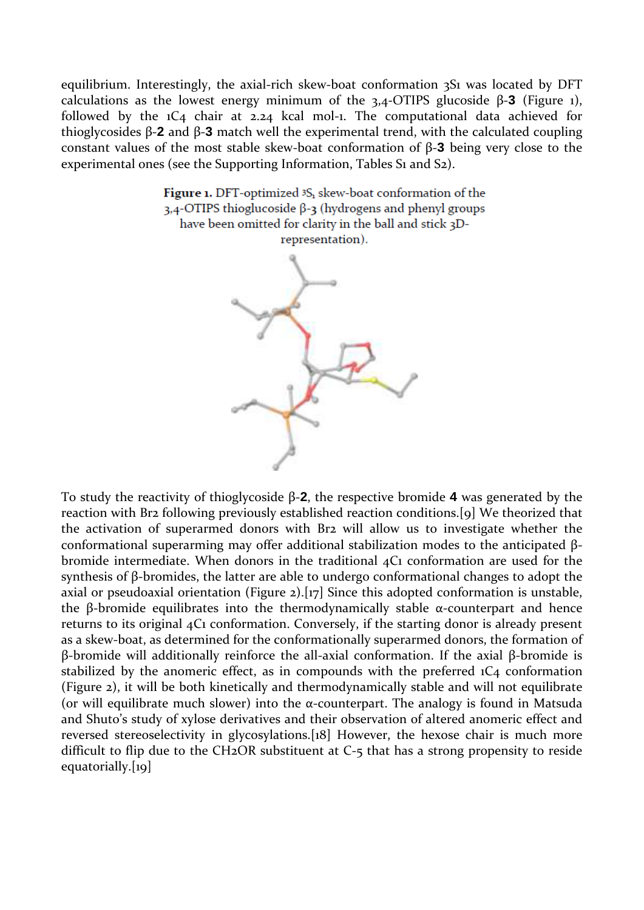equilibrium. Interestingly, the axial-rich skew-boat conformation 3S1 was located by DFT calculations as the lowest energy minimum of the 3,4-OTIPS glucoside β-**3** (Figure 1), followed by the 1C4 chair at 2.24 kcal mol-1. The computational data achieved for thioglycosides β-**2** and β-**3** match well the experimental trend, with the calculated coupling constant values of the most stable skew-boat conformation of β-**3** being very close to the experimental ones (see the Supporting Information, Tables S<sub>1</sub> and S<sub>2</sub>).

> Figure 1. DFT-optimized <sup>3</sup>S<sub>1</sub> skew-boat conformation of the 3,4-OTIPS thioglucoside β-3 (hydrogens and phenyl groups have been omitted for clarity in the ball and stick 3Drepresentation).



To study the reactivity of thioglycoside β-**2**, the respective bromide **4** was generated by the reaction with Br2 following previously established reaction conditions.[9] We theorized that the activation of superarmed donors with Br2 will allow us to investigate whether the conformational superarming may offer additional stabilization modes to the anticipated βbromide intermediate. When donors in the traditional 4C1 conformation are used for the synthesis of β-bromides, the latter are able to undergo conformational changes to adopt the axial or pseudoaxial orientation (Figure 2).[17] Since this adopted conformation is unstable, the β-bromide equilibrates into the thermodynamically stable  $α$ -counterpart and hence returns to its original 4C1 conformation. Conversely, if the starting donor is already present as a skew-boat, as determined for the conformationally superarmed donors, the formation of β-bromide will additionally reinforce the all-axial conformation. If the axial β-bromide is stabilized by the anomeric effect, as in compounds with the preferred  $1C_4$  conformation (Figure 2), it will be both kinetically and thermodynamically stable and will not equilibrate (or will equilibrate much slower) into the  $\alpha$ -counterpart. The analogy is found in Matsuda and Shuto's study of xylose derivatives and their observation of altered anomeric effect and reversed stereoselectivity in glycosylations.[18] However, the hexose chair is much more difficult to flip due to the CH2OR substituent at C-5 that has a strong propensity to reside equatorially.[19]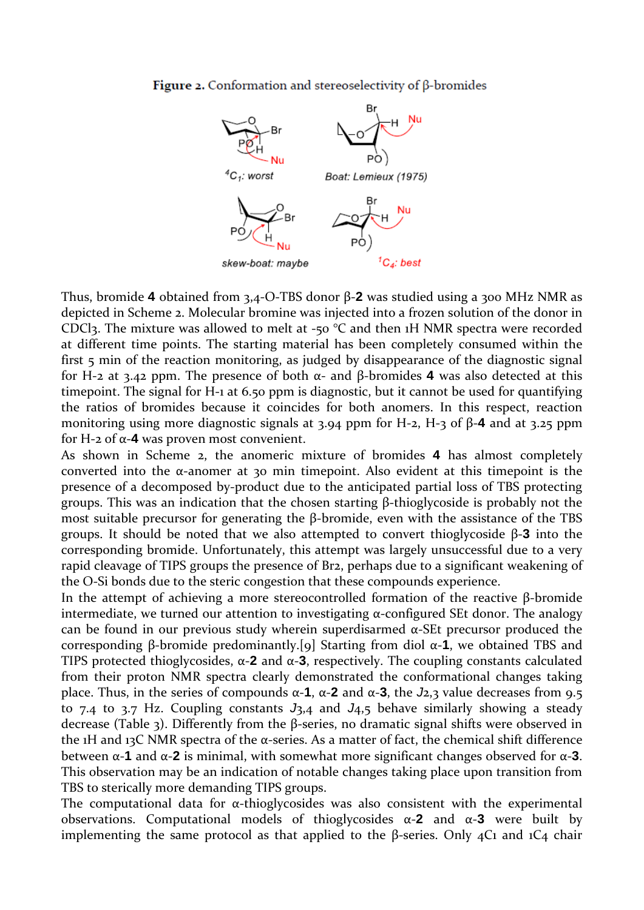#### **Figure 2.** Conformation and stereoselectivity of  $\beta$ -bromides



Thus, bromide **4** obtained from 3,4-O-TBS donor β-**2** was studied using a 300 MHz NMR as depicted in Scheme 2. Molecular bromine was injected into a frozen solution of the donor in CDCl3. The mixture was allowed to melt at -50  $^{\circ}$ C and then 1H NMR spectra were recorded at different time points. The starting material has been completely consumed within the first 5 min of the reaction monitoring, as judged by disappearance of the diagnostic signal for H-2 at 3.42 ppm. The presence of both α- and β-bromides **4** was also detected at this timepoint. The signal for H-1 at 6.50 ppm is diagnostic, but it cannot be used for quantifying the ratios of bromides because it coincides for both anomers. In this respect, reaction monitoring using more diagnostic signals at 3.94 ppm for H-2, H-3 of β-**4** and at 3.25 ppm for H-2 of α-**4** was proven most convenient.

As shown in Scheme 2, the anomeric mixture of bromides **4** has almost completely converted into the  $\alpha$ -anomer at 30 min timepoint. Also evident at this timepoint is the presence of a decomposed by-product due to the anticipated partial loss of TBS protecting groups. This was an indication that the chosen starting β-thioglycoside is probably not the most suitable precursor for generating the β-bromide, even with the assistance of the TBS groups. It should be noted that we also attempted to convert thioglycoside β-**3** into the corresponding bromide. Unfortunately, this attempt was largely unsuccessful due to a very rapid cleavage of TIPS groups the presence of Br2, perhaps due to a significant weakening of the O-Si bonds due to the steric congestion that these compounds experience.

In the attempt of achieving a more stereocontrolled formation of the reactive β-bromide intermediate, we turned our attention to investigating  $\alpha$ -configured SEt donor. The analogy can be found in our previous study wherein superdisarmed α-SEt precursor produced the corresponding β-bromide predominantly.[9] Starting from diol α-**1**, we obtained TBS and TIPS protected thioglycosides, α-**2** and α-**3**, respectively. The coupling constants calculated from their proton NMR spectra clearly demonstrated the conformational changes taking place. Thus, in the series of compounds  $\alpha$ -**1**,  $\alpha$ -**2** and  $\alpha$ -**3**, the *J*<sub>2</sub>,3</sub> value decreases from 9.5 to 7.4 to 3.7 Hz. Coupling constants *J*3,4 and *J*4,5 behave similarly showing a steady decrease (Table 3). Differently from the β-series, no dramatic signal shifts were observed in the 1H and 13C NMR spectra of the α-series. As a matter of fact, the chemical shift difference between α-**1** and α-**2** is minimal, with somewhat more significant changes observed for α-**3**. This observation may be an indication of notable changes taking place upon transition from TBS to sterically more demanding TIPS groups.

The computational data for  $\alpha$ -thioglycosides was also consistent with the experimental observations. Computational models of thioglycosides α-**2** and α-**3** were built by implementing the same protocol as that applied to the β-series. Only  $4C_1$  and  $1C_4$  chair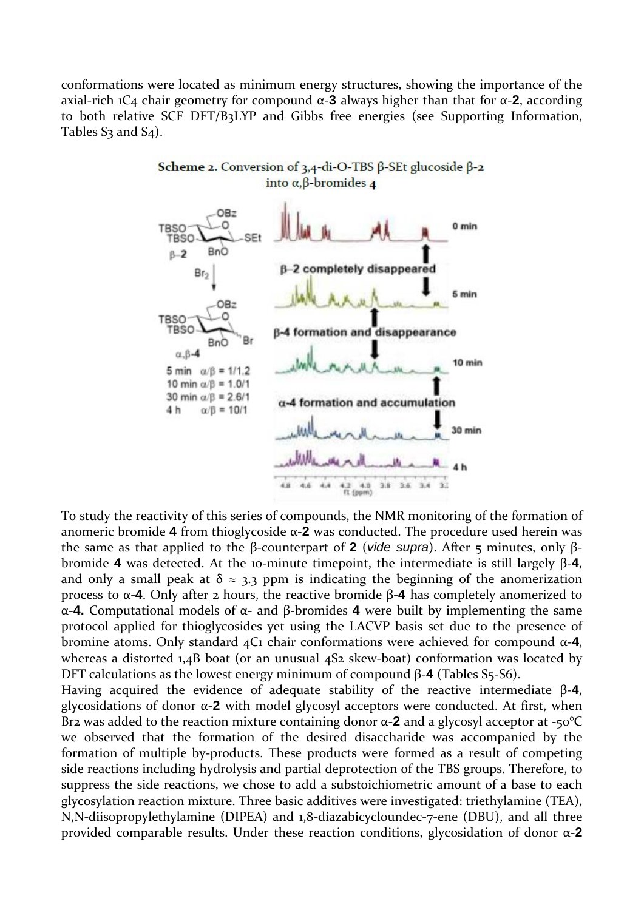conformations were located as minimum energy structures, showing the importance of the axial-rich 1C4 chair geometry for compound α-**3** always higher than that for α-**2**, according to both relative SCF DFT/B3LYP and Gibbs free energies (see Supporting Information, Tables  $S_3$  and  $S_4$ ).



Scheme 2. Conversion of 3,4-di-O-TBS  $\beta$ -SEt glucoside  $\beta$ -2 into  $\alpha$ ,  $\beta$ -bromides 4

To study the reactivity of this series of compounds, the NMR monitoring of the formation of anomeric bromide **4** from thioglycoside α-**2** was conducted. The procedure used herein was the same as that applied to the β-counterpart of **2** (*vide supra*). After 5 minutes, only βbromide **4** was detected. At the 10-minute timepoint, the intermediate is still largely β-**4**, and only a small peak at  $\delta \approx 3.3$  ppm is indicating the beginning of the anomerization process to α-**4**. Only after 2 hours, the reactive bromide β-**4** has completely anomerized to α-**4.** Computational models of α- and β-bromides **4** were built by implementing the same protocol applied for thioglycosides yet using the LACVP basis set due to the presence of bromine atoms. Only standard 4C1 chair conformations were achieved for compound α-**4**, whereas a distorted 1,4B boat (or an unusual 4S2 skew-boat) conformation was located by DFT calculations as the lowest energy minimum of compound β-**4** (Tables S5-S6).

Having acquired the evidence of adequate stability of the reactive intermediate β-**4**, glycosidations of donor α-**2** with model glycosyl acceptors were conducted. At first, when Br2 was added to the reaction mixture containing donor α-**2** and a glycosyl acceptor at -50°C we observed that the formation of the desired disaccharide was accompanied by the formation of multiple by-products. These products were formed as a result of competing side reactions including hydrolysis and partial deprotection of the TBS groups. Therefore, to suppress the side reactions, we chose to add a substoichiometric amount of a base to each glycosylation reaction mixture. Three basic additives were investigated: triethylamine (TEA), N,N-diisopropylethylamine (DIPEA) and 1,8-diazabicycloundec-7-ene (DBU), and all three provided comparable results. Under these reaction conditions, glycosidation of donor α-**2**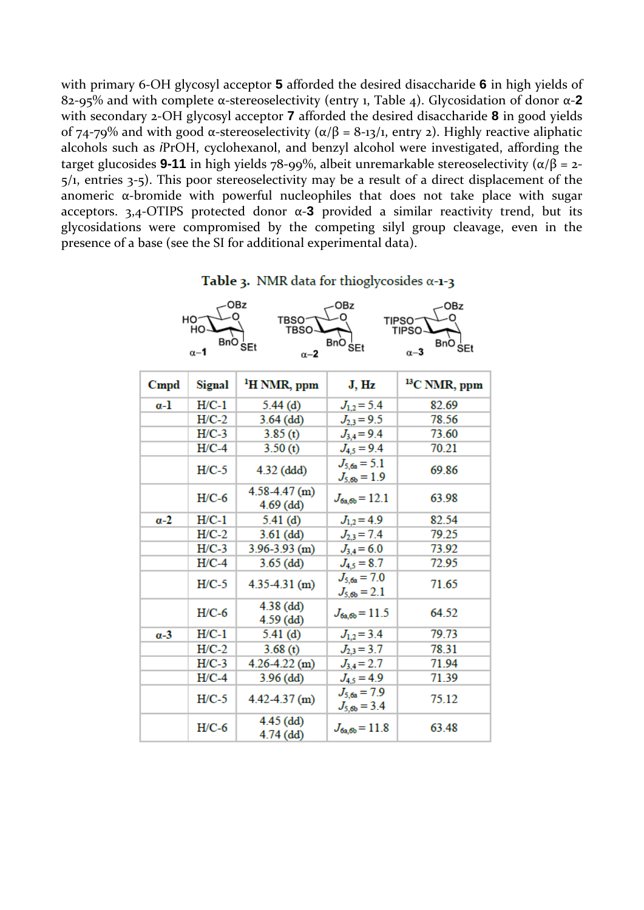with primary 6-OH glycosyl acceptor **5** afforded the desired disaccharide **6** in high yields of 82-95% and with complete α-stereoselectivity (entry 1, Table 4). Glycosidation of donor α-**2**  with secondary 2-OH glycosyl acceptor **7** afforded the desired disaccharide **8** in good yields of 74-79% and with good α-stereoselectivity ( $\alpha/\beta$  = 8-13/1, entry 2). Highly reactive aliphatic alcohols such as *i*PrOH, cyclohexanol, and benzyl alcohol were investigated, affording the target glucosides **9-11** in high yields 78-99%, albeit unremarkable stereoselectivity ( $α/β = 2$ -5/1, entries 3-5). This poor stereoselectivity may be a result of a direct displacement of the anomeric  $\alpha$ -bromide with powerful nucleophiles that does not take place with sugar acceptors. 3,4-OTIPS protected donor α-**3** provided a similar reactivity trend, but its glycosidations were compromised by the competing silyl group cleavage, even in the presence of a base (see the SI for additional experimental data).



|              | HO-<br>но                | OBz<br><b>TBSO</b><br><b>TBSO</b> | OBz                                  | OBz<br>TIPSO <sup>-</sup><br><b>TIPSO</b> |
|--------------|--------------------------|-----------------------------------|--------------------------------------|-------------------------------------------|
|              | <b>BnO</b><br>$\alpha-1$ | SEt<br>$\alpha-2$                 | <b>BnO</b><br><b>SEt</b>             | BnO <sub>SEt</sub><br>$\alpha - 3$        |
| $C$ mpd      | Signal                   | <sup>1</sup> H NMR, ppm           | J, Hz                                | <sup>13</sup> C NMR, ppm                  |
| $a-1$        | $H/C-1$                  | 5.44(d)                           | $J_{1,2} = 5.4$                      | 82.69                                     |
|              | $H/C-2$                  | $3.64$ (dd)                       | $J_{2,3} = 9.5$                      | 78.56                                     |
|              | $H/C-3$                  | 3.85(t)                           | $J_{3,4} = 9.4$                      | 73.60                                     |
|              | $H/C-4$                  | 3.50(t)                           | $J_{4,5} = 9.4$                      | 70.21                                     |
|              | $H/C-5$                  | $4.32$ (ddd)                      | $J_{5,6a} = 5.1$<br>$J_{5,6b} = 1.9$ | 69.86                                     |
|              | $H/C-6$                  | $4.58 - 4.47$ (m)<br>$4.69$ (dd)  | $J_{6a,6b} = 12.1$                   | 63.98                                     |
| $\alpha-2$   | $H/C-1$                  | 5.41(d)                           | $J_{1,2} = 4.9$                      | 82.54                                     |
|              | $H/C-2$                  | $3.61$ (dd)                       | $J_{2,3} = 7.4$                      | 79.25                                     |
|              | $H/C-3$                  | $3.96 - 3.93$ (m)                 | $J_{3,4} = 6.0$                      | 73.92                                     |
|              | $H/C-4$                  | $3.65$ (dd)                       | $J_{4,5} = 8.7$                      | 72.95                                     |
|              | $H/C-5$                  | $4.35 - 4.31$ (m)                 | $J_{5.6a} = 7.0$<br>$J_{5.6b} = 2.1$ | 71.65                                     |
|              | $H/C-6$                  | $4.38$ (dd)<br>$4.59$ (dd)        | $J_{6a,6b} = 11.5$                   | 64.52                                     |
| $\alpha - 3$ | $H/C-1$                  | 5.41(d)                           | $J_{1,2} = 3.4$                      | 79.73                                     |
|              | $H/C-2$                  | 3.68(t)                           | $J_{2,3} = 3.7$                      | 78.31                                     |
|              | $H/C-3$                  | $4.26 - 4.22$ (m)                 | $J_{3,4} = 2.7$                      | 71.94                                     |
|              | $H/C-4$                  | $3.96$ (dd)                       | $J_{4.5} = 4.9$                      | 71.39                                     |
|              | $H/C-5$                  | $4.42 - 4.37$ (m)                 | $J_{5.6a} = 7.9$<br>$J_{5,6b} = 3.4$ | 75.12                                     |
|              | $H/C-6$                  | $4.45$ (dd)<br>$4.74$ (dd)        | $J_{6a,6b} = 11.8$                   | 63.48                                     |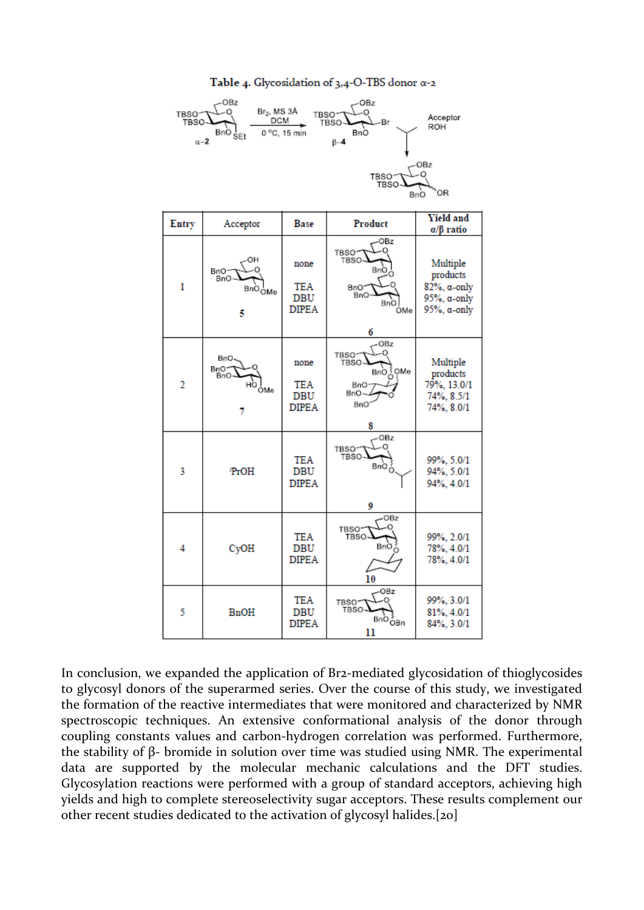#### Table 4. Glycosidation of  $3,4$ -O-TBS donor  $\alpha$ -2



| Entry          | Acceptor                                      | <b>Base</b>                                      | Product                                                                                        | <b>Yield and</b><br>$\alpha/\beta$ ratio                                                              |
|----------------|-----------------------------------------------|--------------------------------------------------|------------------------------------------------------------------------------------------------|-------------------------------------------------------------------------------------------------------|
| 1              | ΟН<br>BnO−<br>-BnO<br>BnO <sub>OMe</sub><br>5 | none<br><b>TEA</b><br><b>DBU</b><br><b>DIPEA</b> | OBz<br>TBSO <sup>.</sup><br><b>TBSO</b><br>BnÒ<br>BnO'<br><b>BnO</b><br>BnO<br><b>OMe</b><br>6 | Multiple<br>products<br>$82\%$ , $\alpha$ -only<br>$95\%$ , $\alpha$ -only<br>$95\%$ , $\alpha$ -only |
| $\overline{2}$ | BnO-<br>BnO<br>BnO-<br>нò<br>ÓMe<br>7         | none<br><b>TEA</b><br><b>DBU</b><br><b>DIPEA</b> | -OBz<br>o<br><b>TBSO</b><br>TBSO<br>BnO ွ်ဴ QMe<br>BnO-<br>$BnO-$<br>BnO<br>8                  | Multiple<br>products<br>79%, 13.0/1<br>74%, 8.5/1<br>74%, 8.0/1                                       |
| 3              | <b>PrOH</b>                                   | <b>TEA</b><br><b>DBU</b><br><b>DIPEA</b>         | -OBz<br>TBSO-<br>TBSO<br>BnO<br>9                                                              | 99%, 5.0/1<br>94%, 5.0/1<br>94%, 4.0/1                                                                |
| 4              | CyOH                                          | <b>TEA</b><br>DBU<br><b>DIPEA</b>                | $-OBz$<br>TBSO∕<br>TBSO<br>BnÒ<br>10                                                           | 99%, 2.0/1<br>78%, 4.0/1<br>78%, 4.0/1                                                                |
| 5              | <b>BnOH</b>                                   | <b>TEA</b><br>DBU<br><b>DIPEA</b>                | -OBz<br><b>TBSO</b><br><b>TBSO</b><br>BnO oBn<br>11                                            | 99%, 3.0/1<br>81%, 4.0/1<br>84%, 3.0/1                                                                |

In conclusion, we expanded the application of Br2-mediated glycosidation of thioglycosides to glycosyl donors of the superarmed series. Over the course of this study, we investigated the formation of the reactive intermediates that were monitored and characterized by NMR spectroscopic techniques. An extensive conformational analysis of the donor through coupling constants values and carbon-hydrogen correlation was performed. Furthermore, the stability of β- bromide in solution over time was studied using NMR. The experimental data are supported by the molecular mechanic calculations and the DFT studies. Glycosylation reactions were performed with a group of standard acceptors, achieving high yields and high to complete stereoselectivity sugar acceptors. These results complement our other recent studies dedicated to the activation of glycosyl halides.[20]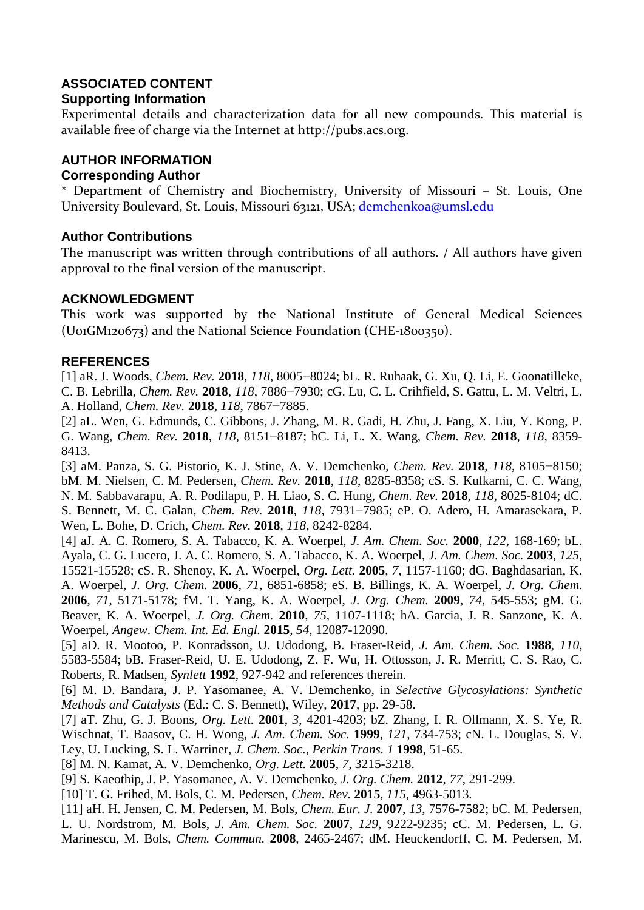# **ASSOCIATED CONTENT**

#### **Supporting Information**

Experimental details and characterization data for all new compounds. This material is available free of charge via the Internet at http://pubs.acs.org.

## **AUTHOR INFORMATION**

#### **Corresponding Author**

\* Department of Chemistry and Biochemistry, University of Missouri – St. Louis, One University Boulevard, St. Louis, Missouri 63121, USA; demchenkoa@umsl.edu

## **Author Contributions**

The manuscript was written through contributions of all authors. / All authors have given approval to the final version of the manuscript.

#### **ACKNOWLEDGMENT**

This work was supported by the National Institute of General Medical Sciences (U01GM120673) and the National Science Foundation (CHE-1800350).

#### **REFERENCES**

[1] aR. J. Woods, *Chem. Rev.* **2018**, *118*, 8005−8024; bL. R. Ruhaak, G. Xu, Q. Li, E. Goonatilleke, C. B. Lebrilla, *Chem. Rev.* **2018**, *118*, 7886−7930; cG. Lu, C. L. Crihfield, S. Gattu, L. M. Veltri, L. A. Holland, *Chem. Rev.* **2018**, *118*, 7867−7885.

[2] aL. Wen, G. Edmunds, C. Gibbons, J. Zhang, M. R. Gadi, H. Zhu, J. Fang, X. Liu, Y. Kong, P. G. Wang, *Chem. Rev.* **2018**, *118*, 8151−8187; bC. Li, L. X. Wang, *Chem. Rev.* **2018**, *118*, 8359- 8413.

[3] aM. Panza, S. G. Pistorio, K. J. Stine, A. V. Demchenko, *Chem. Rev.* **2018**, *118*, 8105−8150; bM. M. Nielsen, C. M. Pedersen, *Chem. Rev.* **2018**, *118*, 8285-8358; cS. S. Kulkarni, C. C. Wang, N. M. Sabbavarapu, A. R. Podilapu, P. H. Liao, S. C. Hung, *Chem. Rev.* **2018**, *118*, 8025-8104; dC. S. Bennett, M. C. Galan, *Chem. Rev.* **2018**, *118*, 7931−7985; eP. O. Adero, H. Amarasekara, P. Wen, L. Bohe, D. Crich, *Chem. Rev.* **2018**, *118*, 8242-8284.

[4] aJ. A. C. Romero, S. A. Tabacco, K. A. Woerpel, *J. Am. Chem. Soc.* **2000**, *122*, 168-169; bL. Ayala, C. G. Lucero, J. A. C. Romero, S. A. Tabacco, K. A. Woerpel, *J. Am. Chem. Soc.* **2003**, *125*, 15521-15528; cS. R. Shenoy, K. A. Woerpel, *Org. Lett.* **2005**, *7*, 1157-1160; dG. Baghdasarian, K. A. Woerpel, *J. Org. Chem.* **2006**, *71*, 6851-6858; eS. B. Billings, K. A. Woerpel, *J. Org. Chem.*  **2006**, *71*, 5171-5178; fM. T. Yang, K. A. Woerpel, *J. Org. Chem.* **2009**, *74*, 545-553; gM. G. Beaver, K. A. Woerpel, *J. Org. Chem.* **2010**, *75*, 1107-1118; hA. Garcia, J. R. Sanzone, K. A. Woerpel, *Angew. Chem. Int. Ed. Engl.* **2015**, *54*, 12087-12090.

[5] aD. R. Mootoo, P. Konradsson, U. Udodong, B. Fraser-Reid, *J. Am. Chem. Soc.* **1988**, *110*, 5583-5584; bB. Fraser-Reid, U. E. Udodong, Z. F. Wu, H. Ottosson, J. R. Merritt, C. S. Rao, C. Roberts, R. Madsen, *Synlett* **1992**, 927-942 and references therein.

[6] M. D. Bandara, J. P. Yasomanee, A. V. Demchenko, in *Selective Glycosylations: Synthetic Methods and Catalysts* (Ed.: C. S. Bennett), Wiley, **2017**, pp. 29-58.

[7] aT. Zhu, G. J. Boons, *Org. Lett.* **2001**, *3*, 4201-4203; bZ. Zhang, I. R. Ollmann, X. S. Ye, R. Wischnat, T. Baasov, C. H. Wong, *J. Am. Chem. Soc.* **1999**, *121*, 734-753; cN. L. Douglas, S. V. Ley, U. Lucking, S. L. Warriner, *J. Chem. Soc., Perkin Trans. 1* **1998**, 51-65.

[8] M. N. Kamat, A. V. Demchenko, *Org. Lett.* **2005**, *7*, 3215-3218.

[9] S. Kaeothip, J. P. Yasomanee, A. V. Demchenko, *J. Org. Chem.* **2012**, *77*, 291-299.

[10] T. G. Frihed, M. Bols, C. M. Pedersen, *Chem. Rev.* **2015**, *115*, 4963-5013.

[11] aH. H. Jensen, C. M. Pedersen, M. Bols, *Chem. Eur. J.* **2007**, *13*, 7576-7582; bC. M. Pedersen, L. U. Nordstrom, M. Bols, *J. Am. Chem. Soc.* **2007**, *129*, 9222-9235; cC. M. Pedersen, L. G. Marinescu, M. Bols, *Chem. Commun.* **2008**, 2465-2467; dM. Heuckendorff, C. M. Pedersen, M.